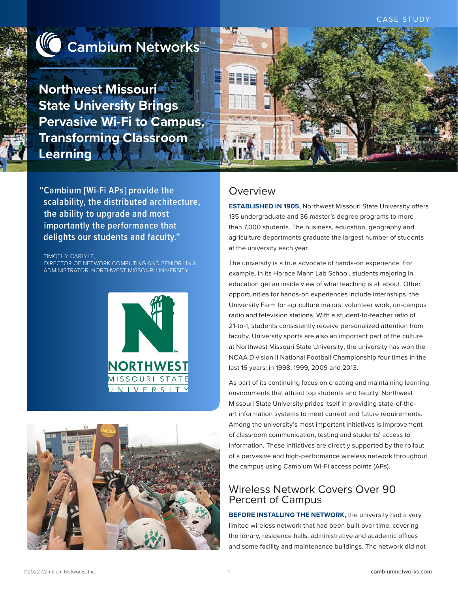

# **△ Cambium Networks**™

**Northwest Missouri State University Brings Pervasive Wi-Fi to Campus, Transforming Classroom Learning**



#### TIMOTHY CARLYLE,

DIRECTOR OF NETWORK COMPUTING AND SENIOR UNIX ADMINISTRATOR, NORTHWEST MISSOURI UNIVERSITY





### Overview

**ESTABLISHED IN 1905,** Northwest Missouri State University offers 135 undergraduate and 36 master's degree programs to more than 7,000 students. The business, education, geography and agriculture departments graduate the largest number of students at the university each year.

The university is a true advocate of hands-on experience. For example, in its Horace Mann Lab School, students majoring in education get an inside view of what teaching is all about. Other opportunities for hands-on experiences include internships, the University Farm for agriculture majors, volunteer work, on-campus radio and television stations. With a student-to-teacher ratio of 21-to-1, students consistently receive personalized attention from faculty. University sports are also an important part of the culture at Northwest Missouri State University; the university has won the NCAA Division II National Football Championship four times in the last 16 years: in 1998, 1999, 2009 and 2013.

As part of its continuing focus on creating and maintaining learning environments that attract top students and faculty, Northwest Missouri State University prides itself in providing state-of-theart information systems to meet current and future requirements. Among the university's most important initiatives is improvement of classroom communication, testing and students' access to information. These initiatives are directly supported by the rollout of a pervasive and high-performance wireless network throughout the campus using Cambium Wi-Fi access points (APs).

### Wireless Network Covers Over 90 Percent of Campus

**BEFORE INSTALLING THE NETWORK, the university had a very** limited wireless network that had been built over time, covering the library, residence halls, administrative and academic offices and some facility and maintenance buildings. The network did not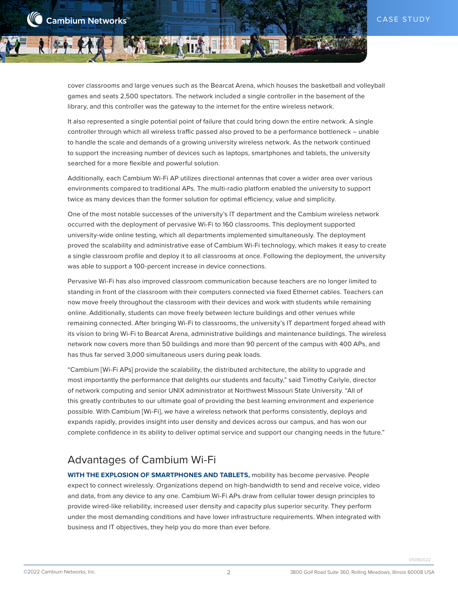cover classrooms and large venues such as the Bearcat Arena, which houses the basketball and volleyball games and seats 2,500 spectators. The network included a single controller in the basement of the library, and this controller was the gateway to the internet for the entire wireless network.

It also represented a single potential point of failure that could bring down the entire network. A single controller through which all wireless traffic passed also proved to be a performance bottleneck – unable to handle the scale and demands of a growing university wireless network. As the network continued to support the increasing number of devices such as laptops, smartphones and tablets, the university searched for a more flexible and powerful solution.

Additionally, each Cambium Wi-Fi AP utilizes directional antennas that cover a wider area over various environments compared to traditional APs. The multi-radio platform enabled the university to support twice as many devices than the former solution for optimal efficiency, value and simplicity.

One of the most notable successes of the university's IT department and the Cambium wireless network occurred with the deployment of pervasive Wi-Fi to 160 classrooms. This deployment supported university-wide online testing, which all departments implemented simultaneously. The deployment proved the scalability and administrative ease of Cambium Wi-Fi technology, which makes it easy to create a single classroom profile and deploy it to all classrooms at once. Following the deployment, the university was able to support a 100-percent increase in device connections.

Pervasive Wi-Fi has also improved classroom communication because teachers are no longer limited to standing in front of the classroom with their computers connected via fixed Ethernet cables. Teachers can now move freely throughout the classroom with their devices and work with students while remaining online. Additionally, students can move freely between lecture buildings and other venues while remaining connected. After bringing Wi-Fi to classrooms, the university's IT department forged ahead with its vision to bring Wi-Fi to Bearcat Arena, administrative buildings and maintenance buildings. The wireless network now covers more than 50 buildings and more than 90 percent of the campus with 400 APs, and has thus far served 3,000 simultaneous users during peak loads.

"Cambium [Wi-Fi APs] provide the scalability, the distributed architecture, the ability to upgrade and most importantly the performance that delights our students and faculty," said Timothy Carlyle, director of network computing and senior UNIX administrator at Northwest Missouri State University. "All of this greatly contributes to our ultimate goal of providing the best learning environment and experience possible. With Cambium [Wi-Fi], we have a wireless network that performs consistently, deploys and expands rapidly, provides insight into user density and devices across our campus, and has won our complete confidence in its ability to deliver optimal service and support our changing needs in the future."

## Advantages of Cambium Wi-Fi

**WITH THE EXPLOSION OF SMARTPHONES AND TABLETS,** mobility has become pervasive. People expect to connect wirelessly. Organizations depend on high-bandwidth to send and receive voice, video and data, from any device to any one. Cambium Wi-Fi APs draw from cellular tower design principles to provide wired-like reliability, increased user density and capacity plus superior security. They perform under the most demanding conditions and have lower infrastructure requirements. When integrated with business and IT objectives, they help you do more than ever before.

2